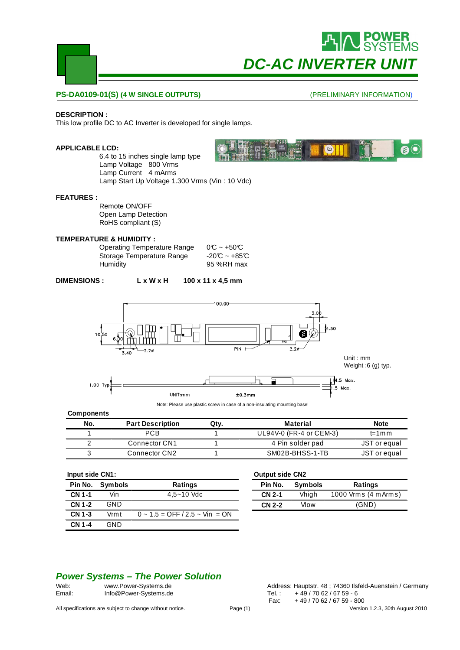

# **DC-AC INVERTER UN**

 $\circ$ 

#### **PS-DA0109-01(S) (4 W SINGLE OUTPUTS)**

#### (PRELIMINARY INFORMATION)

 $\mathbf{e}$ 

#### **DESCRIPTION :**

This low profile DC to AC Inverter is developed for single lamps.

#### **APPLICABLE LCD:**

6.4 to 15 inches single lamp type Lamp Voltage 800 Vrms Lamp Current 4 mArms Lamp Start Up Voltage 1.300 Vrms (Vin : 10 Vdc)

#### **FEATURES :**

Remote ON/OFF Open Lamp Detection RoHS compliant (S)

#### **TEMPERATURE & HUMIDITY :**

Operating Temperature Range  $0^\circ$  ~ +50°C<br>Storage Temperature Range -20°C ~ +85°C Storage Temperature Range Humidity 95 %RH max

| <b>DIMENSIONS :</b> | L x W x H | $100 \times 11 \times 4.5$ mm |
|---------------------|-----------|-------------------------------|
|---------------------|-----------|-------------------------------|



**Components**

| No. | <b>Part Description</b> | Qtv. | Material                | <b>Note</b>              |
|-----|-------------------------|------|-------------------------|--------------------------|
|     | PCB                     |      | UL94V-0 (FR-4 or CEM-3) | t=1 $\text{m}\,\text{m}$ |
|     | Connector CN1           |      | 4 Pin solder pad        | JST or equal             |
|     | Connector CN2           |      | SM02B-BHSS-1-TB         | JST or equal             |

#### **Input side CN1:**

| Pin No.       | <b>Symbols</b> | <b>Ratings</b>                          |
|---------------|----------------|-----------------------------------------|
| <b>CN 1-1</b> | Vin            | $4.5 - 10$ Vdc                          |
| CN 1-2        | GND            |                                         |
| CN 1-3        | Vrmt           | $0 \sim 1.5 =$ OFF $/2.5 \sim$ Vin = ON |
| CN 1-4        | <b>GND</b>     |                                         |

#### **Output side CN2**

| Pin No.       | <b>Symbols</b> | <b>Ratings</b>       |  |  |
|---------------|----------------|----------------------|--|--|
| <b>CN 2-1</b> | Vhigh          | 1000 Vrms (4 m Arms) |  |  |
| <b>CN 2-2</b> | Vlow           | (GND)                |  |  |

#### **Power Systems – The Power Solution**

Email: Info@Power-Systems.de Tel.: +49/70 62/67 59 - 6